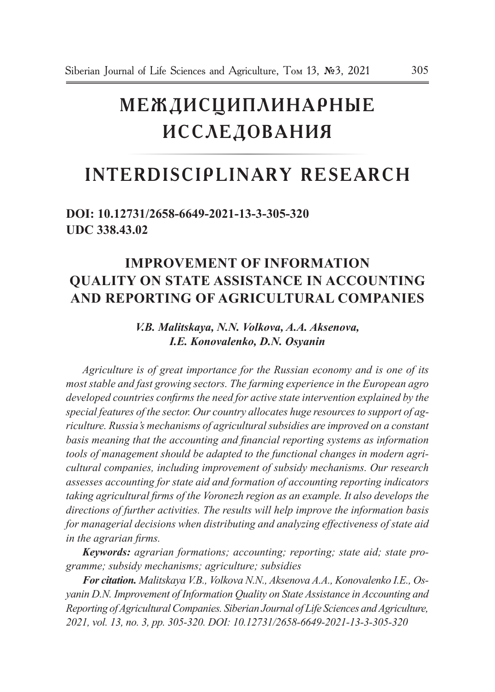# **Междисциплинарные исследования**

## **Interdisciplinary Research**

### **doi: 10.12731/2658-6649-2021-13-3-305-320 UDC 338.43.02**

## **IMPROVEMEnT of INFORMATION QUALITY ON STATE Assistance IN ACCOUNTING AND REPORTING OF AGRICULTURAL COMPANIES**

#### *V.B. Malitskaya, N.N. Volkova, A.A. Aksenova, I.E. Konovalenko, D.N. Osyanin*

*Agriculture is of great importance for the Russian economy and is one of its most stable and fast growing sectors. The farming experience in the European agro developed countries confirms the need for active state intervention explained by the special features of the sector. Our country allocates huge resources to support of agriculture. Russia's mechanisms of agricultural subsidies are improved on a constant basis meaning that the accounting and financial reporting systems as information tools of management should be adapted to the functional changes in modern agricultural companies, including improvement of subsidy mechanisms. Our research assesses accounting for state aid and formation of accounting reporting indicators taking agricultural firms of the Voronezh region as an example. It also develops the directions of further activities. The results will help improve the information basis for managerial decisions when distributing and analyzing effectiveness of state aid in the agrarian firms.* 

*Keywords: agrarian formations; accounting; reporting; state aid; state programme; subsidy mechanisms; agriculture; subsidies*

*For citation. Malitskaya V.B., Volkova N.N., Aksenova A.A., Konovalenko I.E., Osyanin D.N. Improvement of Information Quality on State Assistance in Accounting and Reporting of Agricultural Companies. Siberian Journal of Life Sciences and Agriculture, 2021, vol. 13, no. 3, pp. 305-320. DOI: 10.12731/2658-6649-2021-13-3-305-320*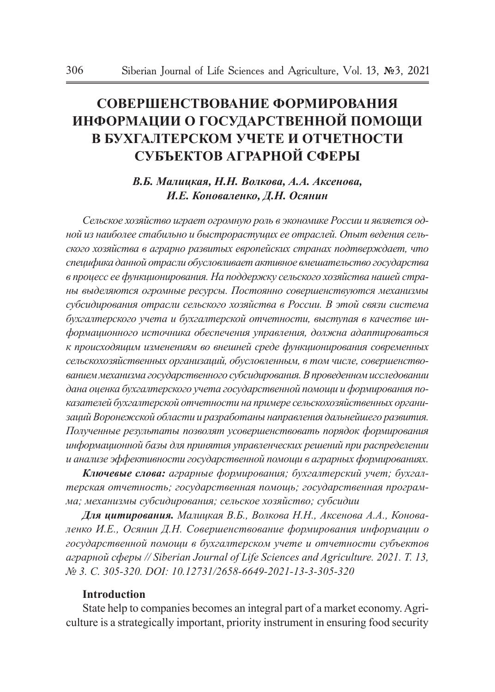## **Совершенствование ФОРМИРОВАНИЯ ИНФОРМАЦИИ О ГОСУДАРСТВЕННОЙ ПОМОЩИ В БУХГАЛТЕРСКОМ УЧЕТЕ И ОТЧЕТНОСТИ СУБЪЕКТОВ АГРАРНОЙ СФЕРЫ**

#### *В.Б. Малицкая, Н.Н. Волкова, А.А. Аксенова, И.Е. Коноваленко, Д.Н. Осянин*

*Сельское хозяйство играет огромную роль в экономике России и является одной из наиболее стабильно и быстрорастущих ее отраслей. Опыт ведения сельского хозяйства в аграрно развитых европейских странах подтверждает, что специфика данной отрасли обусловливает активное вмешательство государства в процесс ее функционирования. На поддержку сельского хозяйства нашей страны выделяются огромные ресурсы. Постоянно совершенствуются механизмы субсидирования отрасли сельского хозяйства в России. В этой связи система бухгалтерского учета и бухгалтерской отчетности, выступая в качестве информационного источника обеспечения управления, должна адаптироваться к происходящим изменениям во внешней среде функционирования современных сельскохозяйственных организаций, обусловленным, в том числе, совершенствованием механизма государственного субсидирования. В проведенном исследовании дана оценка бухгалтерского учета государственной помощи и формирования показателей бухгалтерской отчетности на примере сельскохозяйственных организаций Воронежской области и разработаны направления дальнейшего развития. Полученные результаты позволят усовершенствовать порядок формирования информационной базы для принятия управленческих решений при распределении и анализе эффективности государственной помощи в аграрных формированиях.* 

*Ключевые слова: аграрные формирования; бухгалтерский учет; бухгалтерская отчетность; государственная помощь; государственная программа; механизмы субсидирования; сельское хозяйство; субсидии*

*Для цитирования. Малицкая В.Б., Волкова Н.Н., Аксенова А.А., Коноваленко И.Е., Осянин Д.Н. Совершенствование формирования информации о государственной помощи в бухгалтерском учете и отчетности субъектов аграрной сферы // Siberian Journal of Life Sciences and Agriculture. 2021. Т. 13, № 3. C. 305-320. DOI: 10.12731/2658-6649-2021-13-3-305-320* 

#### **Introduction**

State help to companies becomes an integral part of a market economy. Agriculture is a strategically important, priority instrument in ensuring food security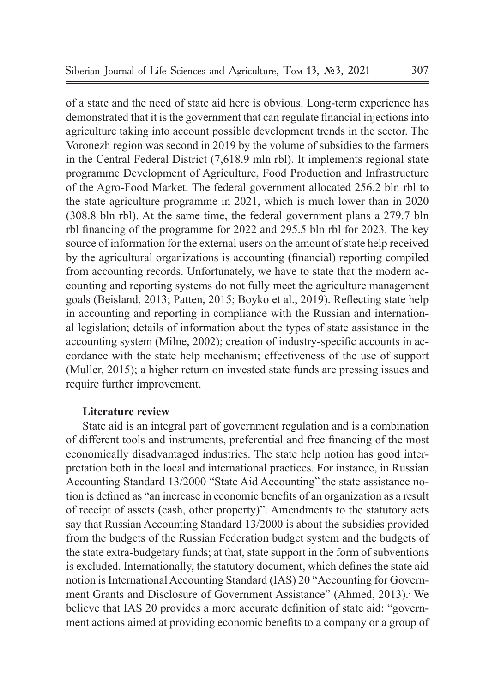of a state and the need of state aid here is obvious. Long-term experience has demonstrated that it is the government that can regulate financial injections into agriculture taking into account possible development trends in the sector. The Voronezh region was second in 2019 by the volume of subsidies to the farmers in the Central Federal District (7,618.9 mln rbl). It implements regional state programme Development of Agriculture, Food Production and Infrastructure of the Agro-Food Market. The federal government allocated 256.2 bln rbl to the state agriculture programme in 2021, which is much lower than in 2020 (308.8 bln rbl). At the same time, the federal government plans a 279.7 bln rbl financing of the programme for 2022 and 295.5 bln rbl for 2023. The key source of information for the external users on the amount of state help received by the agricultural organizations is accounting (financial) reporting compiled from accounting records. Unfortunately, we have to state that the modern accounting and reporting systems do not fully meet the agriculture management goals (Beisland, 2013; Patten, 2015; Boyko et al., 2019). Reflecting state help in accounting and reporting in compliance with the Russian and international legislation; details of information about the types of state assistance in the accounting system (Milne, 2002); creation of industry-specific accounts in accordance with the state help mechanism; effectiveness of the use of support (Muller, 2015); a higher return on invested state funds are pressing issues and require further improvement.

#### **Literature review**

State aid is an integral part of government regulation and is a combination of different tools and instruments, preferential and free financing of the most economically disadvantaged industries. The state help notion has good interpretation both in the local and international practices. For instance, in Russian Accounting Standard 13/2000 "State Aid Accounting" the state assistance notion is defined as "an increase in economic benefits of an organization as a result of receipt of assets (cash, other property)". Amendments to the statutory acts say that Russian Accounting Standard 13/2000 is about the subsidies provided from the budgets of the Russian Federation budget system and the budgets of the state extra-budgetary funds; at that, state support in the form of subventions is excluded. Internationally, the statutory document, which defines the state aid notion is International Accounting Standard (IAS) 20 "Accounting for Government Grants and Disclosure of Government Assistance" (Ahmed, 2013). We believe that IAS 20 provides a more accurate definition of state aid: "government actions aimed at providing economic benefits to a company or a group of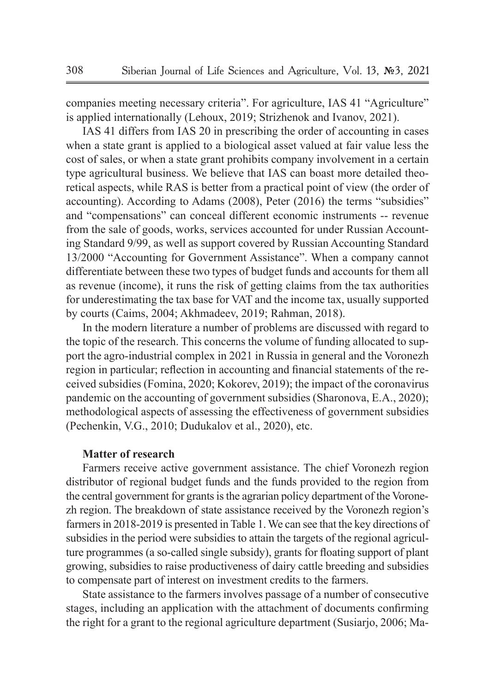companies meeting necessary criteria". For agriculture, IAS 41 "Agriculture" is applied internationally (Lehoux, 2019; Strizhenok and Ivanov, 2021).

IAS 41 differs from IAS 20 in prescribing the order of accounting in cases when a state grant is applied to a biological asset valued at fair value less the cost of sales, or when a state grant prohibits company involvement in a certain type agricultural business. We believe that IAS can boast more detailed theoretical aspects, while RAS is better from a practical point of view (the order of accounting). According to Adams (2008), Peter (2016) the terms "subsidies" and "compensations" can conceal different economic instruments -- revenue from the sale of goods, works, services accounted for under Russian Accounting Standard 9/99, as well as support covered by Russian Accounting Standard 13/2000 "Accounting for Government Assistance". When a company cannot differentiate between these two types of budget funds and accounts for them all as revenue (income), it runs the risk of getting claims from the tax authorities for underestimating the tax base for VAT and the income tax, usually supported by courts (Caims, 2004; Akhmadeev, 2019; Rahman, 2018).

In the modern literature a number of problems are discussed with regard to the topic of the research. This concerns the volume of funding allocated to support the agro-industrial complex in 2021 in Russia in general and the Voronezh region in particular; reflection in accounting and financial statements of the received subsidies (Fomina, 2020; Kokorev, 2019); the impact of the coronavirus pandemic on the accounting of government subsidies (Sharonova, E.A., 2020); methodological aspects of assessing the effectiveness of government subsidies (Pechenkin, V.G., 2010; Dudukalov et al., 2020), etc.

#### **Matter of research**

Farmers receive active government assistance. The chief Voronezh region distributor of regional budget funds and the funds provided to the region from the central government for grants is the agrarian policy department of the Voronezh region. The breakdown of state assistance received by the Voronezh region's farmers in 2018-2019 is presented in Table 1. We can see that the key directions of subsidies in the period were subsidies to attain the targets of the regional agriculture programmes (a so-called single subsidy), grants for floating support of plant growing, subsidies to raise productiveness of dairy cattle breeding and subsidies to compensate part of interest on investment credits to the farmers.

State assistance to the farmers involves passage of a number of consecutive stages, including an application with the attachment of documents confirming the right for a grant to the regional agriculture department (Susiarjo, 2006; Ma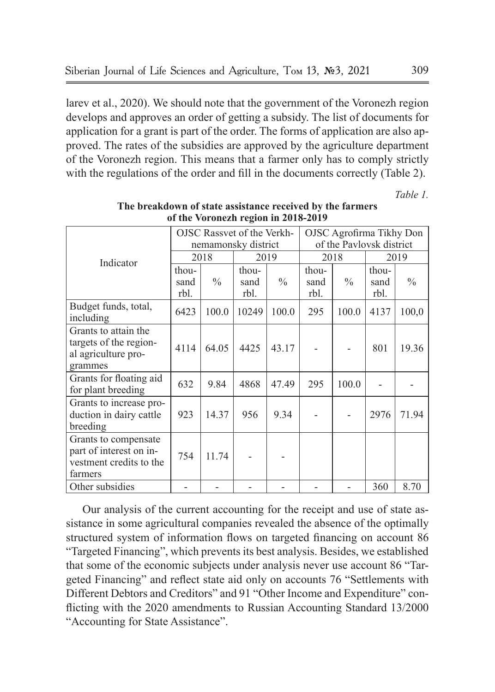larev et al., 2020). We should note that the government of the Voronezh region develops and approves an order of getting a subsidy. The list of documents for application for a grant is part of the order. The forms of application are also approved. The rates of the subsidies are approved by the agriculture department of the Voronezh region. This means that a farmer only has to comply strictly with the regulations of the order and fill in the documents correctly (Table 2).

*Таble 1.*

|                                                                                       | OJSC Rassvet of the Verkh-<br>nemamonsky district |               |                       |               | OJSC Agrofirma Tikhy Don<br>of the Paylovsk district |               |                       |               |
|---------------------------------------------------------------------------------------|---------------------------------------------------|---------------|-----------------------|---------------|------------------------------------------------------|---------------|-----------------------|---------------|
| Indicator                                                                             | 2018                                              |               | 2019                  |               | 2018                                                 |               | 2019                  |               |
|                                                                                       | thou-<br>sand<br>rbl.                             | $\frac{0}{0}$ | thou-<br>sand<br>rbl. | $\frac{0}{0}$ | thou-<br>sand<br>rbl.                                | $\frac{0}{0}$ | thou-<br>sand<br>rbl. | $\frac{0}{0}$ |
| Budget funds, total,<br>including                                                     | 6423                                              | 100.0         | 10249                 | 100.0         | 295                                                  | 100.0         | 4137                  | 100,0         |
| Grants to attain the<br>targets of the region-<br>al agriculture pro-<br>grammes      | 4114                                              | 64.05         | 4425                  | 43.17         |                                                      |               | 801                   | 19.36         |
| Grants for floating aid<br>for plant breeding                                         | 632                                               | 9.84          | 4868                  | 47.49         | 295                                                  | 100.0         |                       |               |
| Grants to increase pro-<br>duction in dairy cattle<br>breeding                        | 923                                               | 14.37         | 956                   | 9.34          |                                                      |               | 2976                  | 71.94         |
| Grants to compensate<br>part of interest on in-<br>vestment credits to the<br>farmers | 754                                               | 11.74         |                       |               |                                                      |               |                       |               |
| Other subsidies                                                                       |                                                   |               |                       |               |                                                      |               | 360                   | 8.70          |

**The breakdown of state assistance received by the farmers of the Voronezh region in 2018-2019**

Our analysis of the current accounting for the receipt and use of state assistance in some agricultural companies revealed the absence of the optimally structured system of information flows on targeted financing on account 86 "Targeted Financing", which prevents its best analysis. Besides, we established that some of the economic subjects under analysis never use account 86 "Targeted Financing" and reflect state aid only on accounts 76 "Settlements with Different Debtors and Creditors" and 91 "Other Income and Expenditure" conflicting with the 2020 amendments to Russian Accounting Standard 13/2000 "Accounting for State Assistance".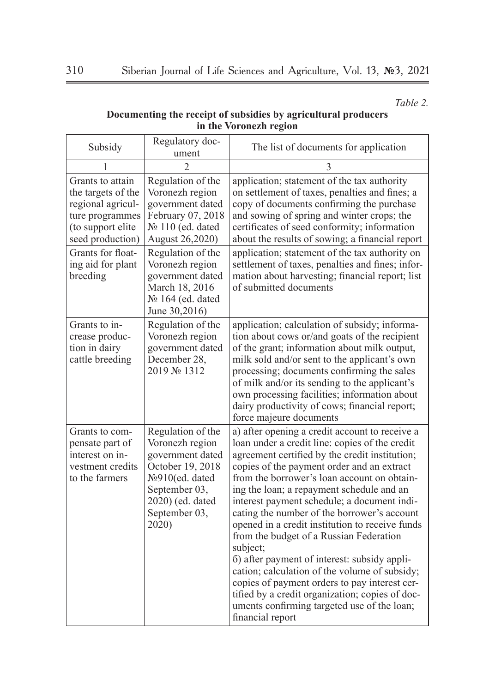*Таble 2.*

#### **Documenting the receipt of subsidies by agricultural producers in the Voronezh region**

| Regulatory doc-<br>Subsidy<br>ument                                                                                     |                                                                                                                                                               | The list of documents for application                                                                                                                                                                                                                                                                                                                                                                                                                                                                                                                                                                                                                                                                                                                                        |  |  |
|-------------------------------------------------------------------------------------------------------------------------|---------------------------------------------------------------------------------------------------------------------------------------------------------------|------------------------------------------------------------------------------------------------------------------------------------------------------------------------------------------------------------------------------------------------------------------------------------------------------------------------------------------------------------------------------------------------------------------------------------------------------------------------------------------------------------------------------------------------------------------------------------------------------------------------------------------------------------------------------------------------------------------------------------------------------------------------------|--|--|
| $\mathcal{D}$<br>1                                                                                                      |                                                                                                                                                               | 3                                                                                                                                                                                                                                                                                                                                                                                                                                                                                                                                                                                                                                                                                                                                                                            |  |  |
| Grants to attain<br>the targets of the<br>regional agricul-<br>ture programmes<br>(to support elite<br>seed production) | Regulation of the<br>Voronezh region<br>government dated<br>February 07, 2018<br>No 110 (ed. dated<br>August 26,2020)                                         | application; statement of the tax authority<br>on settlement of taxes, penalties and fines; a<br>copy of documents confirming the purchase<br>and sowing of spring and winter crops; the<br>certificates of seed conformity; information<br>about the results of sowing; a financial report                                                                                                                                                                                                                                                                                                                                                                                                                                                                                  |  |  |
| Grants for float-<br>ing aid for plant<br>breeding                                                                      | Regulation of the<br>Voronezh region<br>government dated<br>March 18, 2016<br>№ 164 (ed. dated<br>June 30,2016)                                               | application; statement of the tax authority on<br>settlement of taxes, penalties and fines; infor-<br>mation about harvesting; financial report; list<br>of submitted documents                                                                                                                                                                                                                                                                                                                                                                                                                                                                                                                                                                                              |  |  |
| Grants to in-<br>crease produc-<br>tion in dairy<br>cattle breeding                                                     | Regulation of the<br>Voronezh region<br>government dated<br>December 28,<br>2019 № 1312                                                                       | application; calculation of subsidy; informa-<br>tion about cows or/and goats of the recipient<br>of the grant; information about milk output,<br>milk sold and/or sent to the applicant's own<br>processing; documents confirming the sales<br>of milk and/or its sending to the applicant's<br>own processing facilities; information about<br>dairy productivity of cows; financial report;<br>force majeure documents                                                                                                                                                                                                                                                                                                                                                    |  |  |
| Grants to com-<br>pensate part of<br>interest on in-<br>vestment credits<br>to the farmers                              | Regulation of the<br>Voronezh region<br>government dated<br>October 19, 2018<br>№910(ed. dated<br>September 03,<br>2020) (ed. dated<br>September 03,<br>2020) | a) after opening a credit account to receive a<br>loan under a credit line: copies of the credit<br>agreement certified by the credit institution;<br>copies of the payment order and an extract<br>from the borrower's loan account on obtain-<br>ing the loan; a repayment schedule and an<br>interest payment schedule; a document indi-<br>cating the number of the borrower's account<br>opened in a credit institution to receive funds<br>from the budget of a Russian Federation<br>subject;<br>6) after payment of interest: subsidy appli-<br>cation; calculation of the volume of subsidy;<br>copies of payment orders to pay interest cer-<br>tified by a credit organization; copies of doc-<br>uments confirming targeted use of the loan;<br>financial report |  |  |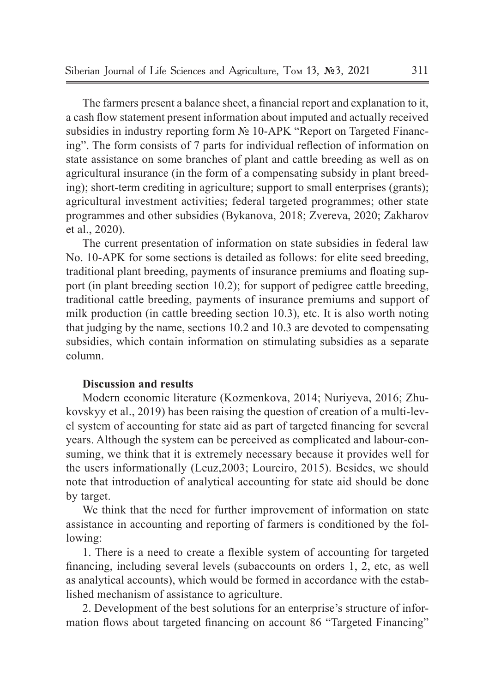The farmers present a balance sheet, a financial report and explanation to it, a cash flow statement present information about imputed and actually received subsidies in industry reporting form № 10-APK "Report on Targeted Financing". The form consists of 7 parts for individual reflection of information on state assistance on some branches of plant and cattle breeding as well as on agricultural insurance (in the form of a compensating subsidy in plant breeding); short-term crediting in agriculture; support to small enterprises (grants); agricultural investment activities; federal targeted programmes; other state programmes and other subsidies (Bykanova, 2018; Zvereva, 2020; Zakharov et al., 2020).

The current presentation of information on state subsidies in federal law No. 10-APK for some sections is detailed as follows: for elite seed breeding, traditional plant breeding, payments of insurance premiums and floating support (in plant breeding section 10.2); for support of pedigree cattle breeding, traditional cattle breeding, payments of insurance premiums and support of milk production (in cattle breeding section 10.3), etc. It is also worth noting that judging by the name, sections 10.2 and 10.3 are devoted to compensating subsidies, which contain information on stimulating subsidies as a separate column.

#### **Discussion and results**

Modern economic literature (Kozmenkova, 2014; Nuriyeva, 2016; Zhukovskyy et al., 2019) has been raising the question of creation of a multi-level system of accounting for state aid as part of targeted financing for several years. Although the system can be perceived as complicated and labour-consuming, we think that it is extremely necessary because it provides well for the users informationally (Leuz,2003; Loureiro, 2015). Besides, we should note that introduction of analytical accounting for state aid should be done by target.

We think that the need for further improvement of information on state assistance in accounting and reporting of farmers is conditioned by the following:

1. There is a need to create a flexible system of accounting for targeted financing, including several levels (subaccounts on orders 1, 2, etc, as well as analytical accounts), which would be formed in accordance with the established mechanism of assistance to agriculture.

2. Development of the best solutions for an enterprise's structure of information flows about targeted financing on account 86 "Targeted Financing"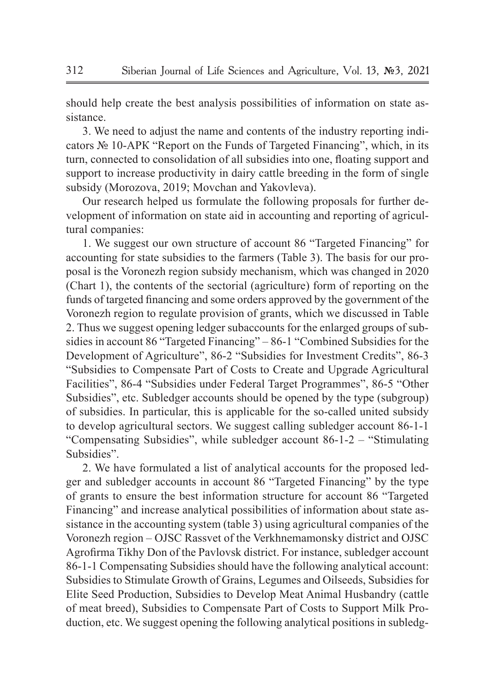should help create the best analysis possibilities of information on state assistance.

3. We need to adjust the name and contents of the industry reporting indicators № 10-АPК "Report on the Funds of Targeted Financing", which, in its turn, connected to consolidation of all subsidies into one, floating support and support to increase productivity in dairy cattle breeding in the form of single subsidy (Morozova, 2019; Movchan and Yakovleva).

Our research helped us formulate the following proposals for further development of information on state aid in accounting and reporting of agricultural companies:

1. We suggest our own structure of account 86 "Targeted Financing" for accounting for state subsidies to the farmers (Table 3). The basis for our proposal is the Voronezh region subsidy mechanism, which was changed in 2020 (Chart 1), the contents of the sectorial (agriculture) form of reporting on the funds of targeted financing and some orders approved by the government of the Voronezh region to regulate provision of grants, which we discussed in Table 2. Thus we suggest opening ledger subaccounts for the enlarged groups of subsidies in account 86 "Targeted Financing" – 86-1 "Combined Subsidies for the Development of Agriculture", 86-2 "Subsidies for Investment Credits", 86-3 "Subsidies to Compensate Part of Costs to Create and Upgrade Agricultural Facilities", 86-4 "Subsidies under Federal Target Programmes", 86-5 "Other Subsidies", etc. Subledger accounts should be opened by the type (subgroup) of subsidies. In particular, this is applicable for the so-called united subsidy to develop agricultural sectors. We suggest calling subledger account 86-1-1 "Compensating Subsidies", while subledger account 86-1-2 – "Stimulating Subsidies".

2. We have formulated a list of analytical accounts for the proposed ledger and subledger accounts in account 86 "Targeted Financing" by the type of grants to ensure the best information structure for account 86 "Targeted Financing" and increase analytical possibilities of information about state assistance in the accounting system (table 3) using agricultural companies of the Voronezh region – OJSC Rassvet of the Verkhnemamonsky district and OJSC Agrofirma Tikhy Don of the Pavlovsk district. For instance, subledger account 86-1-1 Compensating Subsidies should have the following analytical account: Subsidies to Stimulate Growth of Grains, Legumes and Oilseeds, Subsidies for Elite Seed Production, Subsidies to Develop Meat Animal Husbandry (cattle of meat breed), Subsidies to Compensate Part of Costs to Support Milk Production, etc. We suggest opening the following analytical positions in subledg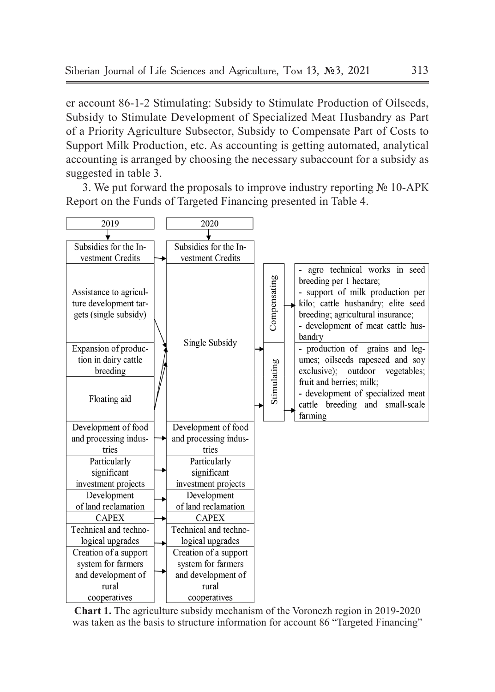er account 86-1-2 Stimulating: Subsidy to Stimulate Production of Oilseeds, Subsidy to Stimulate Development of Specialized Meat Husbandry as Part of a Priority Agriculture Subsector, Subsidy to Compensate Part of Costs to Support Milk Production, etc. As accounting is getting automated, analytical accounting is arranged by choosing the necessary subaccount for a subsidy as suggested in table 3.

3. We put forward the proposals to improve industry reporting № 10-АPК Report on the Funds of Targeted Financing presented in Table 4.



**Chart 1.** The agriculture subsidy mechanism of the Voronezh region in 2019-2020 was taken as the basis to structure information for account 86 "Targeted Financing"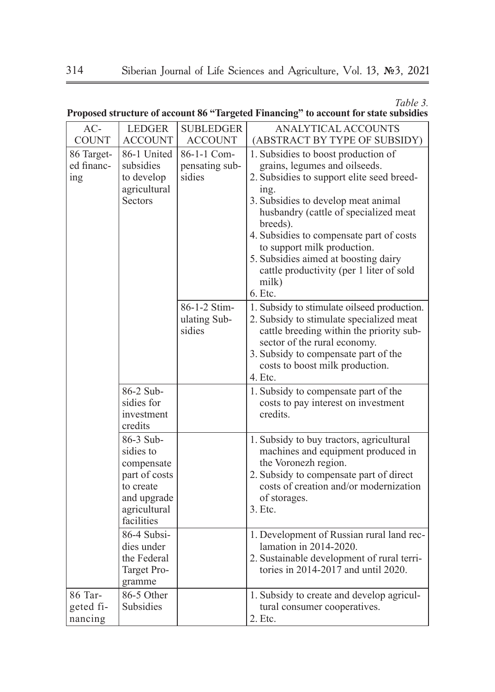*Таble 3.*

| AC-                             | <b>LEDGER</b>                                                                                                   | <b>SUBLEDGER</b>                        | ANALYTICAL ACCOUNTS                                                                                                                                                                                                                                                                                                                                                                                        |
|---------------------------------|-----------------------------------------------------------------------------------------------------------------|-----------------------------------------|------------------------------------------------------------------------------------------------------------------------------------------------------------------------------------------------------------------------------------------------------------------------------------------------------------------------------------------------------------------------------------------------------------|
| <b>COUNT</b>                    | <b>ACCOUNT</b>                                                                                                  | <b>ACCOUNT</b>                          | (ABSTRACT BY TYPE OF SUBSIDY)                                                                                                                                                                                                                                                                                                                                                                              |
| 86 Target-<br>ed financ-<br>ing | 86-1 United<br>subsidies<br>to develop<br>agricultural<br><b>Sectors</b>                                        | 86-1-1 Com-<br>pensating sub-<br>sidies | 1. Subsidies to boost production of<br>grains, legumes and oilseeds.<br>2. Subsidies to support elite seed breed-<br>ing.<br>3. Subsidies to develop meat animal<br>husbandry (cattle of specialized meat<br>breeds).<br>4. Subsidies to compensate part of costs<br>to support milk production.<br>5. Subsidies aimed at boosting dairy<br>cattle productivity (per 1 liter of sold<br>milk)<br>$6.$ Etc. |
|                                 |                                                                                                                 | 86-1-2 Stim-<br>ulating Sub-<br>sidies  | 1. Subsidy to stimulate oilseed production.<br>2. Subsidy to stimulate specialized meat<br>cattle breeding within the priority sub-<br>sector of the rural economy.<br>3. Subsidy to compensate part of the<br>costs to boost milk production.<br>4. Etc.                                                                                                                                                  |
|                                 | 86-2 Sub-<br>sidies for<br>investment<br>credits                                                                |                                         | 1. Subsidy to compensate part of the<br>costs to pay interest on investment<br>credits.                                                                                                                                                                                                                                                                                                                    |
|                                 | 86-3 Sub-<br>sidies to<br>compensate<br>part of costs<br>to create<br>and upgrade<br>agricultural<br>facilities |                                         | 1. Subsidy to buy tractors, agricultural<br>machines and equipment produced in<br>the Voronezh region.<br>2. Subsidy to compensate part of direct<br>costs of creation and/or modernization<br>of storages.<br>$3.$ Etc.                                                                                                                                                                                   |
|                                 | 86-4 Subsi-<br>dies under<br>the Federal<br>Target Pro-<br>gramme                                               |                                         | 1. Development of Russian rural land rec-<br>lamation in 2014-2020.<br>2. Sustainable development of rural terri-<br>tories in 2014-2017 and until 2020.                                                                                                                                                                                                                                                   |
| 86 Tar-<br>geted fi-<br>nancing | 86-5 Other<br>Subsidies                                                                                         |                                         | 1. Subsidy to create and develop agricul-<br>tural consumer cooperatives.<br>2. Etc.                                                                                                                                                                                                                                                                                                                       |

**Proposed structure of account 86 "Targeted Financing" to account for state subsidies**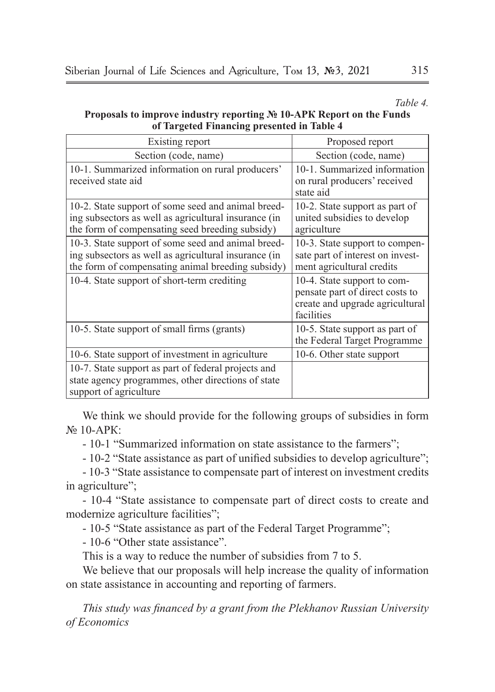*Таble 4.*

| <b>Proposals to improve industry reporting <math>N_e</math> 10-APK Report on the Funds</b> |  |
|--------------------------------------------------------------------------------------------|--|
| of Targeted Financing presented in Table 4                                                 |  |

| Existing report                                                                                                                                                 | Proposed report                                                                                                 |  |  |
|-----------------------------------------------------------------------------------------------------------------------------------------------------------------|-----------------------------------------------------------------------------------------------------------------|--|--|
| Section (code, name)                                                                                                                                            | Section (code, name)                                                                                            |  |  |
| 10-1. Summarized information on rural producers'<br>received state aid                                                                                          | 10-1. Summarized information<br>on rural producers' received<br>state aid                                       |  |  |
| 10-2. State support of some seed and animal breed-<br>ing subsectors as well as agricultural insurance (in<br>the form of compensating seed breeding subsidy)   | 10-2. State support as part of<br>united subsidies to develop<br>agriculture                                    |  |  |
| 10-3. State support of some seed and animal breed-<br>ing subsectors as well as agricultural insurance (in<br>the form of compensating animal breeding subsidy) | 10-3. State support to compen-<br>sate part of interest on invest-<br>ment agricultural credits                 |  |  |
| 10-4. State support of short-term crediting                                                                                                                     | 10-4. State support to com-<br>pensate part of direct costs to<br>create and upgrade agricultural<br>facilities |  |  |
| 10-5. State support of small firms (grants)                                                                                                                     | 10-5. State support as part of<br>the Federal Target Programme                                                  |  |  |
| 10-6. State support of investment in agriculture                                                                                                                | 10-6. Other state support                                                                                       |  |  |
| 10-7. State support as part of federal projects and<br>state agency programmes, other directions of state<br>support of agriculture                             |                                                                                                                 |  |  |

We think we should provide for the following groups of subsidies in form  $\mathbb{N}^{\circ}$  10-АРК $\cdot$ 

- 10-1 "Summarized information on state assistance to the farmers";

- 10-2 "State assistance as part of unified subsidies to develop agriculture";

- 10-3 "State assistance to compensate part of interest on investment credits in agriculture";

- 10-4 "State assistance to compensate part of direct costs to create and modernize agriculture facilities";

- 10-5 "State assistance as part of the Federal Target Programme";

- 10-6 "Other state assistance".

This is a way to reduce the number of subsidies from 7 to 5.

We believe that our proposals will help increase the quality of information on state assistance in accounting and reporting of farmers.

*This study was financed by a grant from the Plekhanov Russian University of Economics*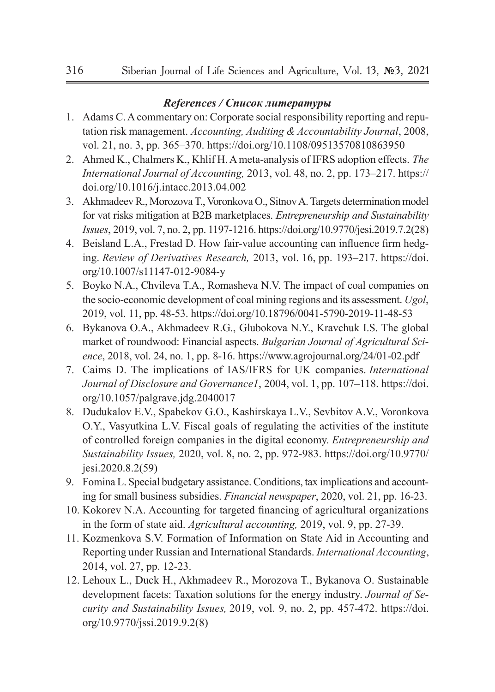#### *References / Список литературы*

- 1. Adams C. A commentary on: Corporate social responsibility reporting and reputation risk management. *Accounting, Auditing & Accountability Journal*, 2008, vol. 21, no. 3, pp. 365–370. https://doi.org/10.1108/09513570810863950
- 2. Ahmed K., Chalmers K., Khlif H. A meta-analysis of IFRS adoption effects. *The International Journal of Accounting,* 2013, vol. 48, no. 2, pp. 173–217. https:// doi.org/10.1016/j.intacc.2013.04.002
- 3. Akhmadeev R., Morozova T., Voronkova O., Sitnov A. Targets determination model for vat risks mitigation at B2B marketplaces. *Entrepreneurship and Sustainability Issues*, 2019, vol. 7, no. 2, pp. 1197-1216. https://doi.org/10.9770/jesi.2019.7.2(28)
- 4. Beisland L.A., Frestad D. How fair-value accounting can influence firm hedging. *Review of Derivatives Research,* 2013, vol. 16, pp. 193–217. https://doi. org/10.1007/s11147-012-9084-y
- 5. Boyko N.A., Chvileva T.A., Romasheva N.V. The impact of coal companies on the socio-economic development of coal mining regions and its assessment. *Ugol*, 2019, vol. 11, pp. 48-53. https://doi.org/10.18796/0041-5790-2019-11-48-53
- 6. Bykanova O.A., Akhmadeev R.G., Glubokova N.Y., Kravchuk I.S. The global market of roundwood: Financial aspects. *Bulgarian Journal of Agricultural Science*, 2018, vol. 24, no. 1, pp. 8-16. https://www.agrojournal.org/24/01-02.pdf
- 7. Caims D. The implications of IAS/IFRS for UK companies. *International Journal of Disclosure and Governance1*, 2004, vol. 1, pp. 107–118. https://doi. org/10.1057/palgrave.jdg.2040017
- 8. Dudukalov E.V., Spabekov G.O., Kashirskaya L.V., Sevbitov A.V., Voronkova O.Y., Vasyutkina L.V. Fiscal goals of regulating the activities of the institute of controlled foreign companies in the digital economy. *Entrepreneurship and Sustainability Issues,* 2020, vol. 8, no. 2, pp. 972-983. https://doi.org/10.9770/ jesi.2020.8.2(59)
- 9. Fomina L. Special budgetary assistance. Conditions, tax implications and accounting for small business subsidies. *Financial newspaper*, 2020, vol. 21, pp. 16-23.
- 10. Kokorev N.A. Accounting for targeted financing of agricultural organizations in the form of state aid. *Agricultural accounting,* 2019, vol. 9, pp. 27-39.
- 11. Kozmenkovа S.V. Formation of Information on State Aid in Accounting and Reporting under Russian and International Standards. *International Accounting*, 2014, vol. 27, pp. 12-23.
- 12. Lehoux L., Duck H., Akhmadeev R., Morozova T., Bykanova O. Sustainable development facets: Taxation solutions for the energy industry. *Journal of Security and Sustainability Issues,* 2019, vol. 9, no. 2, pp. 457-472. https://doi. org/10.9770/jssi.2019.9.2(8)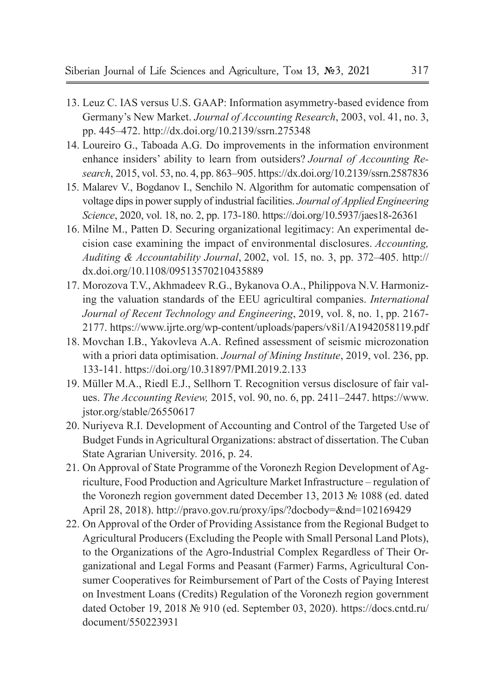- 13. Leuz C. IAS versus U.S. GAAP: Information asymmetry-based evidence from Germany's New Market. *Journal of Accounting Research*, 2003, vol. 41, no. 3, pp. 445–472. http://dx.doi.org/10.2139/ssrn.275348
- 14. Loureiro G., Taboada A.G. Do improvements in the information environment enhance insiders' ability to learn from outsiders? *Journal of Accounting Research*, 2015, vol. 53, no. 4, pp. 863–905. https://dx.doi.org/10.2139/ssrn.2587836
- 15. Malarev V., Bogdanov I., Senchilo N. Algorithm for automatic compensation of voltage dips in power supply of industrial facilities. *Journal of Applied Engineering Science*, 2020, vol. 18, no. 2, pp. 173-180. https://doi.org/10.5937/jaes18-26361
- 16. Milne M., Patten D. Securing organizational legitimacy: An experimental decision case examining the impact of environmental disclosures. *Accounting, Auditing & Accountability Journal*, 2002, vol. 15, no. 3, pp. 372–405. http:// dx.doi.org/10.1108/09513570210435889
- 17. Morozova T.V., Akhmadeev R.G., Bykanova O.A., Philippova N.V. Harmonizing the valuation standards of the EEU agricultiral companies. *International Journal of Recent Technology and Engineering*, 2019, vol. 8, no. 1, pp. 2167- 2177. https://www.ijrte.org/wp-content/uploads/papers/v8i1/A1942058119.pdf
- 18. Movchan I.B., Yakovleva A.A. Refined assessment of seismic microzonation with a priori data optimisation. *Journal of Mining Institute*, 2019, vol. 236, pp. 133-141. https://doi.org/10.31897/PMI.2019.2.133
- 19. Müller M.A., Riedl E.J., Sellhorn T. Recognition versus disclosure of fair values. *The Accounting Review,* 2015, vol. 90, no. 6, pp. 2411–2447. https://www. jstor.org/stable/26550617
- 20. Nuriyeva R.I. Development of Accounting and Control of the Targeted Use of Budget Funds in Agricultural Organizations: abstract of dissertation. The Cuban State Agrarian University. 2016, p. 24.
- 21. On Approval of State Programme of the Voronezh Region Development of Agriculture, Food Production and Agriculture Market Infrastructure – regulation of the Voronezh region government dated December 13, 2013 № 1088 (ed. dated April 28, 2018). http://pravo.gov.ru/proxy/ips/?docbody=&nd=102169429
- 22. On Approval of the Order of Providing Assistance from the Regional Budget to Agricultural Producers (Excluding the People with Small Personal Land Plots), to the Organizations of the Agro-Industrial Complex Regardless of Their Organizational and Legal Forms and Peasant (Farmer) Farms, Agricultural Consumer Cooperatives for Reimbursement of Part of the Costs of Paying Interest on Investment Loans (Credits) Regulation of the Voronezh region government dated October 19, 2018 № 910 (ed. September 03, 2020). https://docs.cntd.ru/ document/550223931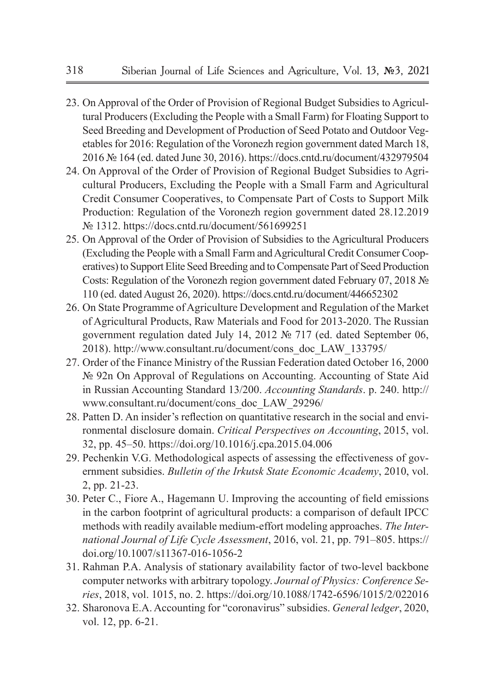- 23. On Approval of the Order of Provision of Regional Budget Subsidies to Agricultural Producers (Excluding the People with a Small Farm) for Floating Support to Seed Breeding and Development of Production of Seed Potato and Outdoor Vegetables for 2016: Regulation of the Voronezh region government dated March 18, 2016 № 164 (ed. dated June 30, 2016). https://docs.cntd.ru/document/432979504
- 24. On Approval of the Order of Provision of Regional Budget Subsidies to Agricultural Producers, Excluding the People with a Small Farm and Agricultural Credit Consumer Cooperatives, to Compensate Part of Costs to Support Milk Production: Regulation of the Voronezh region government dated 28.12.2019 № 1312. https://docs.cntd.ru/document/561699251
- 25. On Approval of the Order of Provision of Subsidies to the Agricultural Producers (Excluding the People with a Small Farm and Agricultural Credit Consumer Cooperatives) to Support Elite Seed Breeding and to Compensate Part of Seed Production Costs: Regulation of the Voronezh region government dated February 07, 2018 № 110 (ed. dated August 26, 2020). https://docs.cntd.ru/document/446652302
- 26. On State Programme of Agriculture Development and Regulation of the Market of Agricultural Products, Raw Materials and Food for 2013-2020. The Russian government regulation dated July 14, 2012 № 717 (ed. dated September 06, 2018). http://www.consultant.ru/document/cons\_doc\_LAW\_133795/
- 27. Order of the Finance Ministry of the Russian Federation dated October 16, 2000 № 92n On Approval of Regulations on Accounting. Accounting of State Aid in Russian Accounting Standard 13/200. *Accounting Standards*. p. 240. http:// www.consultant.ru/document/cons\_doc\_LAW\_29296/
- 28. Patten D. An insider's reflection on quantitative research in the social and environmental disclosure domain. *Critical Perspectives on Accounting*, 2015, vol. 32, pp. 45–50. https://doi.org/10.1016/j.cpa.2015.04.006
- 29. Pechenkin V.G. Methodological aspects of assessing the effectiveness of government subsidies. *Bulletin of the Irkutsk State Economic Academy*, 2010, vol. 2, pp. 21-23.
- 30. Peter C., Fiore A., Hagemann U. Improving the accounting of field emissions in the carbon footprint of agricultural products: a comparison of default IPCC methods with readily available medium-effort modeling approaches. *The International Journal of Life Cycle Assessment*, 2016, vol. 21, pp. 791–805. https:// doi.org/10.1007/s11367-016-1056-2
- 31. Rahman P.A. Analysis of stationary availability factor of two-level backbone computer networks with arbitrary topology. *Journal of Physics: Conference Series*, 2018, vol. 1015, no. 2. https://doi.org/10.1088/1742-6596/1015/2/022016
- 32. Sharonova E.A. Accounting for "coronavirus" subsidies. *General ledger*, 2020, vol. 12, pp. 6-21.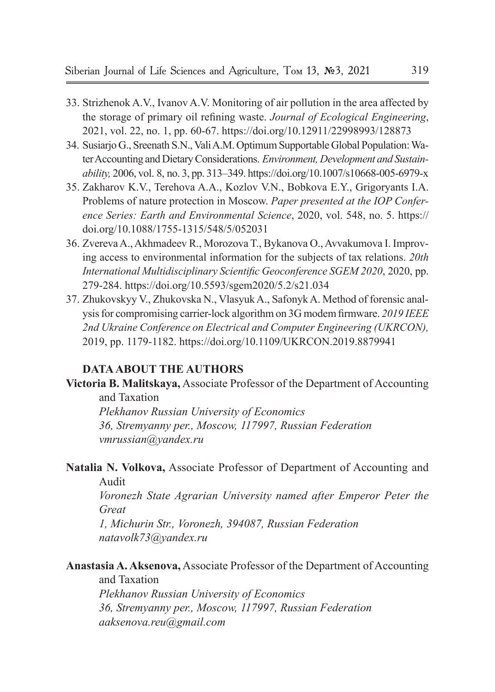- 33. Strizhenok A.V., Ivanov A.V. Monitoring of air pollution in the area affected by the storage of primary oil refining waste. *Journal of Ecological Engineering*, 2021, vol. 22, no. 1, pp. 60-67. https://doi.org/10.12911/22998993/128873
- 34. Susiarjo G., Sreenath S.N., Vali A.M. Optimum Supportable Global Population: Water Accounting and Dietary Considerations. *Environment, Development and Sustainability,* 2006, vol. 8, no. 3, pp. 313–349. https://doi.org/10.1007/s10668-005-6979-x
- 35. Zakharov K.V., Terehova A.A., Kozlov V.N., Bobkova E.Y., Grigoryants I.A. Problems of nature protection in Moscow. *Paper presented at the IOP Conference Series: Earth and Environmental Science*, 2020, vol. 548, no. 5. https:// doi.org/10.1088/1755-1315/548/5/052031
- 36. Zvereva A., Akhmadeev R., Morozova T., Bykanova O., Avvakumova I. Improving access to environmental information for the subjects of tax relations. *20th International Multidisciplinary Scientific Geoconference SGEM 2020*, 2020, pp. 279-284. https://doi.org/10.5593/sgem2020/5.2/s21.034
- 37. Zhukovskyy V., Zhukovska N., Vlasyuk A., Safonyk A. Method of forensic analysis for compromising carrier-lock algorithm on 3G modem firmware. *2019 IEEE 2nd Ukraine Conference on Electrical and Computer Engineering (UKRCON),* 2019, pp. 1179-1182. https://doi.org/10.1109/UKRCON.2019.8879941

#### **DATA ABOUT THE AUTHORS**

**Victoria B. Malitskaya,** Associate Professor of the Department of Accounting and Taxation

*Plekhanov Russian University of Economics 36, Stremyanny per., Moscow, 117997, Russian Federation vmrussian@yandex.ru*

**Natalia N. Volkova,** Associate Professor of Department of Accounting and Audit

*Voronezh State Agrarian University named after Emperor Peter the Great*

*1, Michurin Str., Voronezh, 394087, Russian Federation natavolk73@yandex.ru*

**Anastasia A. Aksenova,** Associate Professor of the Department of Accounting and Taxation

*Plekhanov Russian University of Economics 36, Stremyanny per., Moscow, 117997, Russian Federation aaksenova.reu@gmail.com*